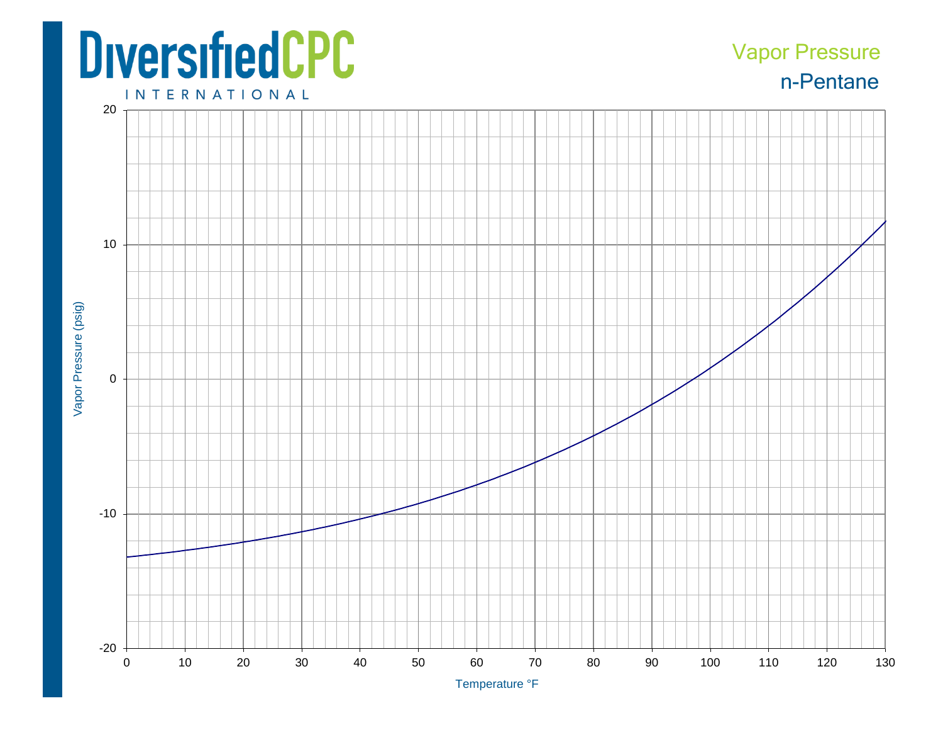## **DiversifiedCPC**

## n-Pentane Vapor Pressure

**INTERNATIONAL**